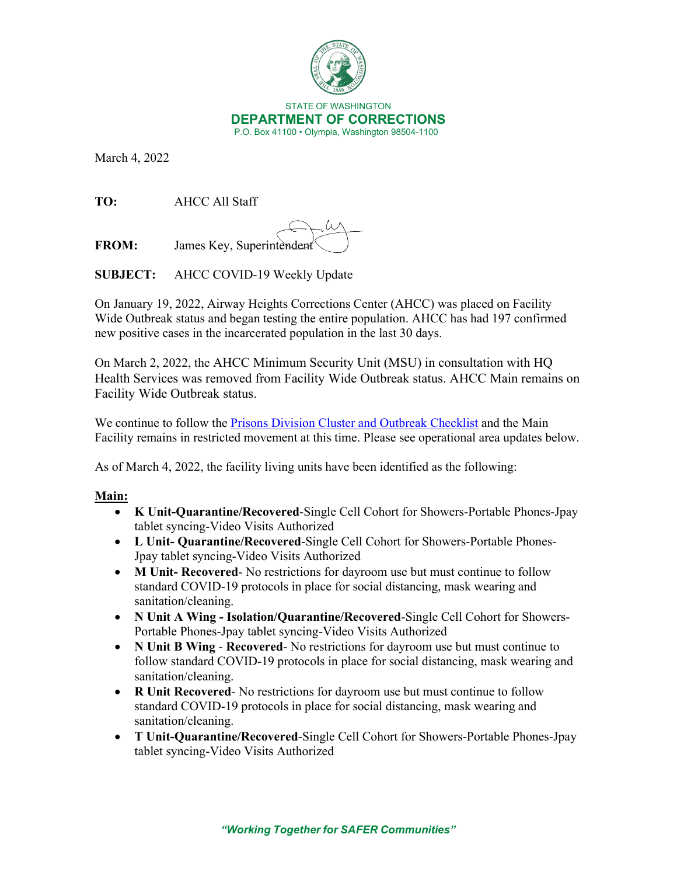

March 4, 2022

**TO:** AHCC All Staff

**FROM:** James Key, Superintendent

**SUBJECT:** AHCC COVID-19 Weekly Update

On January 19, 2022, Airway Heights Corrections Center (AHCC) was placed on Facility Wide Outbreak status and began testing the entire population. AHCC has had 197 confirmed new positive cases in the incarcerated population in the last 30 days.

On March 2, 2022, the AHCC Minimum Security Unit (MSU) in consultation with HQ Health Services was removed from Facility Wide Outbreak status. AHCC Main remains on Facility Wide Outbreak status.

We continue to follow the [Prisons Division Cluster and Outbreak Checklist](https://doc.wa.gov/corrections/covid-19/docs/outbreak-checklist.pdf) and the Main Facility remains in restricted movement at this time. Please see operational area updates below.

As of March 4, 2022, the facility living units have been identified as the following:

# **Main:**

- **K Unit-Quarantine/Recovered**-Single Cell Cohort for Showers-Portable Phones-Jpay tablet syncing-Video Visits Authorized
- **L Unit- Quarantine/Recovered**-Single Cell Cohort for Showers-Portable Phones-Jpay tablet syncing-Video Visits Authorized
- **M Unit- Recovered** No restrictions for dayroom use but must continue to follow standard COVID-19 protocols in place for social distancing, mask wearing and sanitation/cleaning.
- **N Unit A Wing - Isolation/Quarantine/Recovered**-Single Cell Cohort for Showers-Portable Phones-Jpay tablet syncing-Video Visits Authorized
- **N Unit B Wing Recovered** No restrictions for dayroom use but must continue to follow standard COVID-19 protocols in place for social distancing, mask wearing and sanitation/cleaning.
- **R Unit Recovered** No restrictions for dayroom use but must continue to follow standard COVID-19 protocols in place for social distancing, mask wearing and sanitation/cleaning.
- **T Unit-Quarantine/Recovered**-Single Cell Cohort for Showers-Portable Phones-Jpay tablet syncing-Video Visits Authorized